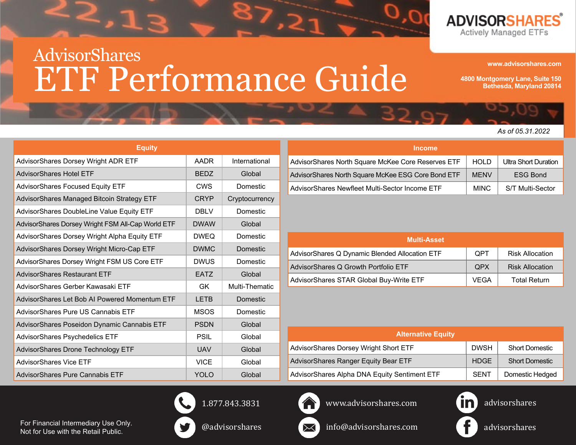## AdvisorShares ETF Performance Guide



**www.advisorshares.com**

**4800 Montgomery Lane, Suite 150 Bethesda, Maryland 20814**

## *As of 05.31.2022*

| <b>Equity</b>                                     |             |                |
|---------------------------------------------------|-------------|----------------|
| AdvisorShares Dorsey Wright ADR ETF               | <b>AADR</b> | International  |
| <b>AdvisorShares Hotel ETF</b>                    | <b>BEDZ</b> | Global         |
| <b>AdvisorShares Focused Equity ETF</b>           | CWS         | Domestic       |
| AdvisorShares Managed Bitcoin Strategy ETF        | <b>CRYP</b> | Cryptocurrency |
| AdvisorShares DoubleLine Value Equity ETF         | <b>DBLV</b> | Domestic       |
| AdvisorShares Dorsey Wright FSM All-Cap World ETF | <b>DWAW</b> | Global         |
| AdvisorShares Dorsey Wright Alpha Equity ETF      | <b>DWEQ</b> | Domestic       |
| AdvisorShares Dorsey Wright Micro-Cap ETF         | <b>DWMC</b> | Domestic       |
| AdvisorShares Dorsey Wright FSM US Core ETF       | DWUS        | Domestic       |
| AdvisorShares Restaurant ETF                      | <b>FATZ</b> | Global         |
| AdvisorShares Gerber Kawasaki ETF                 | GK.         | Multi-Thematic |
| AdvisorShares Let Bob AI Powered Momentum ETF     | <b>LETB</b> | Domestic       |
| AdvisorShares Pure US Cannabis ETF                | <b>MSOS</b> | Domestic       |
| AdvisorShares Poseidon Dynamic Cannabis ETF       | <b>PSDN</b> | Global         |
| AdvisorShares Psychedelics ETF                    | <b>PSIL</b> | Global         |
| AdvisorShares Drone Technology ETF                | <b>UAV</b>  | Global         |
| <b>AdvisorShares Vice ETF</b>                     | <b>VICE</b> | Global         |
| AdvisorShares Pure Cannabis ETF                   | <b>YOLO</b> | Global         |

 $\mathsf{2},\mathsf{1}$ 

| <b>Income</b>                                      |             |                             |
|----------------------------------------------------|-------------|-----------------------------|
| AdvisorShares North Square McKee Core Reserves ETF | HOLD        | <b>Ultra Short Duration</b> |
| AdvisorShares North Square McKee ESG Core Bond ETF | <b>MENV</b> | <b>ESG Bond</b>             |
| AdvisorShares Newfleet Multi-Sector Income ETF     | <b>MINC</b> | S/T Multi-Sector            |

| Multi-Asset                                    |             |                        |
|------------------------------------------------|-------------|------------------------|
| AdvisorShares Q Dynamic Blended Allocation ETF | <b>QPT</b>  | <b>Risk Allocation</b> |
| AdvisorShares Q Growth Portfolio ETF           | <b>QPX</b>  | <b>Risk Allocation</b> |
| AdvisorShares STAR Global Buy-Write ETF        | <b>VEGA</b> | <b>Total Return</b>    |

| <b>Alternative Equity</b>                    |             |                       |  |  |  |  |  |  |  |  |
|----------------------------------------------|-------------|-----------------------|--|--|--|--|--|--|--|--|
| AdvisorShares Dorsey Wright Short ETF        | <b>DWSH</b> | <b>Short Domestic</b> |  |  |  |  |  |  |  |  |
| AdvisorShares Ranger Equity Bear ETF         | <b>HDGE</b> | <b>Short Domestic</b> |  |  |  |  |  |  |  |  |
| AdvisorShares Alpha DNA Equity Sentiment ETF | <b>SENT</b> | Domestic Hedged       |  |  |  |  |  |  |  |  |

For Financial Intermediary Use Only. Not for Use with the Retail Public.









advisorshares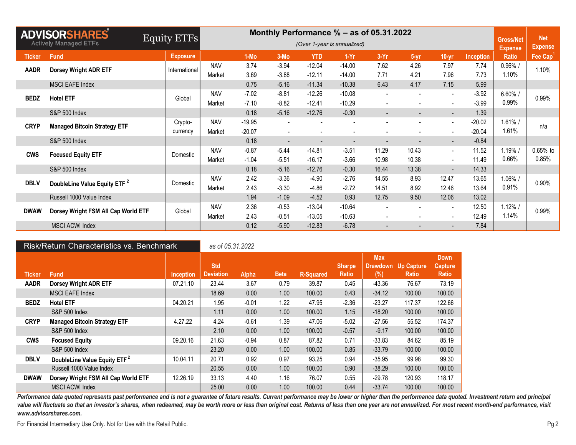|               | <b>ADVISORSHARES</b>                     | Equity ETFs     |            |          |                          |            | Monthly Performance $%$ – as of 05.31.2022 |                          |                          |                          |           | <b>Gross/Net</b> | <b>Net</b>     |
|---------------|------------------------------------------|-----------------|------------|----------|--------------------------|------------|--------------------------------------------|--------------------------|--------------------------|--------------------------|-----------|------------------|----------------|
|               | <b>Actively Managed ETFs</b>             |                 |            |          |                          |            | (Over 1-year is annualized)                |                          |                          |                          |           | <b>Expense</b>   | <b>Expense</b> |
| <b>Ticker</b> | <b>Fund</b>                              | <b>Exposure</b> |            | $1-Mo$   | $3-Mo$                   | <b>YTD</b> | $1-Yr$                                     | $3-Yr$                   | $5-vr$                   | $10-yr$                  | Inception | <b>Ratio</b>     | Fee $Cap1$     |
| <b>AADR</b>   | <b>Dorsey Wright ADR ETF</b>             | International   | <b>NAV</b> | 3.74     | $-3.94$                  | $-12.04$   | $-14.00$                                   | 7.62                     | 4.26                     | 7.97                     | 7.74      | $0.96\%$ /       | 1.10%          |
|               |                                          |                 | Market     | 3.69     | $-3.88$                  | $-12.11$   | $-14.00$                                   | 7.71                     | 4.21                     | 7.96                     | 7.73      | 1.10%            |                |
|               | <b>MSCI EAFE Index</b>                   |                 |            | 0.75     | $-5.16$                  | $-11.34$   | $-10.38$                                   | 6.43                     | 4.17                     | 7.15                     | 5.99      |                  |                |
| <b>BEDZ</b>   | <b>Hotel ETF</b>                         | Global          | <b>NAV</b> | $-7.02$  | $-8.81$                  | $-12.26$   | $-10.08$                                   |                          |                          |                          | $-3.92$   | $6.60\%$ /       | 0.99%          |
|               |                                          |                 | Market     | $-7.10$  | $-8.82$                  | $-12.41$   | $-10.29$                                   |                          |                          | $\overline{\phantom{a}}$ | $-3.99$   | 0.99%            |                |
|               | S&P 500 Index                            |                 |            | 0.18     | $-5.16$                  | $-12.76$   | $-0.30$                                    | $\blacksquare$           |                          | $\overline{\phantom{a}}$ | 1.39      |                  |                |
| <b>CRYP</b>   | <b>Managed Bitcoin Strategy ETF</b>      | Crypto-         | <b>NAV</b> | $-19.95$ | $\overline{\phantom{a}}$ |            |                                            |                          |                          | $\overline{\phantom{a}}$ | $-20.02$  | $1.61\%$ /       | n/a            |
|               | currency                                 | Market          | $-20.07$   |          |                          |            |                                            |                          | $\overline{\phantom{a}}$ | $-20.04$                 | 1.61%     |                  |                |
|               | S&P 500 Index                            |                 |            | 0.18     | $\blacksquare$           |            | $\overline{\phantom{a}}$                   | $\overline{\phantom{a}}$ |                          | $\overline{\phantom{a}}$ | $-0.84$   |                  |                |
| <b>CWS</b>    | <b>Focused Equity ETF</b>                | Domestic        | <b>NAV</b> | $-0.87$  | $-5.44$                  | $-14.81$   | $-3.51$                                    | 11.29                    | 10.43                    | $\sim$                   | 11.52     | 1.19% /          | $0.65%$ to     |
|               |                                          |                 | Market     | $-1.04$  | $-5.51$                  | $-16.17$   | $-3.66$                                    | 10.98                    | 10.38                    | $\overline{\phantom{a}}$ | 11.49     | 0.66%            | 0.85%          |
|               | S&P 500 Index                            |                 |            | 0.18     | $-5.16$                  | $-12.76$   | $-0.30$                                    | 16.44                    | 13.38                    | ۰.                       | 14.33     |                  |                |
| <b>DBLV</b>   | DoubleLine Value Equity ETF <sup>2</sup> | Domestic        | <b>NAV</b> | 2.42     | $-3.36$                  | $-4.90$    | $-2.76$                                    | 14.55                    | 8.93                     | 12.47                    | 13.65     | 1.06% /          | 0.90%          |
|               |                                          |                 | Market     | 2.43     | $-3.30$                  | $-4.86$    | $-2.72$                                    | 14.51                    | 8.92                     | 12.46                    | 13.64     | 0.91%            |                |
|               | Russell 1000 Value Index                 |                 |            | 1.94     | $-1.09$                  | $-4.52$    | 0.93                                       | 12.75                    | 9.50                     | 12.06                    | 13.02     |                  |                |
| <b>DWAW</b>   |                                          | Global          | <b>NAV</b> | 2.36     | $-0.53$                  | $-13.04$   | $-10.64$                                   |                          |                          | $\overline{\phantom{a}}$ | 12.50     | $1.12%$ /        | 0.99%          |
|               | Dorsey Wright FSM All Cap World ETF      |                 | Market     | 2.43     | $-0.51$                  | $-13.05$   | $-10.63$                                   |                          |                          | $\overline{\phantom{a}}$ | 12.49     | 1.14%            |                |
|               | <b>MSCI ACWI Index</b>                   |                 |            | 0.12     | $-5.90$                  | $-12.83$   | $-6.78$                                    |                          |                          | $\blacksquare$           | 7.84      |                  |                |

|               | Risk/Return Characteristics vs. Benchmark |                  | as of 05.31.2022               |         |             |                  |                               |                                          |                                   |                                               |  |  |
|---------------|-------------------------------------------|------------------|--------------------------------|---------|-------------|------------------|-------------------------------|------------------------------------------|-----------------------------------|-----------------------------------------------|--|--|
| <b>Ticker</b> | <b>Fund</b>                               | <b>Inception</b> | <b>Std</b><br><b>Deviation</b> | Alpha   | <b>Beta</b> | <b>R-Squared</b> | <b>Sharpe</b><br><b>Ratio</b> | <b>Max</b><br><b>Drawdown</b><br>$(\% )$ | <b>Up Capture</b><br><b>Ratio</b> | <b>Down</b><br><b>Capture</b><br><b>Ratio</b> |  |  |
| <b>AADR</b>   | <b>Dorsey Wright ADR ETF</b>              | 07.21.10         | 23.44                          | 3.67    | 0.79        | 39.87            | 0.45                          | $-43.36$                                 | 76.67                             | 73.19                                         |  |  |
|               | <b>MSCI EAFE Index</b>                    |                  | 18.69                          | 0.00    | 1.00        | 100.00           | 0.43                          | $-34.12$                                 | 100.00                            | 100.00                                        |  |  |
| <b>BEDZ</b>   | <b>Hotel ETF</b>                          | 04.20.21         | 1.95                           | $-0.01$ | 1.22        | 47.95            | $-2.36$                       | $-23.27$                                 | 117.37                            | 122.66                                        |  |  |
|               | S&P 500 Index                             |                  | 1.11                           | 0.00    | 1.00        | 100.00           | 1.15                          | $-18.20$                                 | 100.00                            | 100.00                                        |  |  |
| <b>CRYP</b>   | <b>Managed Bitcoin Strategy ETF</b>       | 4.27.22          | 4.24                           | $-0.61$ | 1.39        | 47.06            | $-5.02$                       | $-27.56$                                 | 55.52                             | 174.37                                        |  |  |
|               | <b>S&amp;P 500 Index</b>                  |                  | 2.10                           | 0.00    | 1.00        | 100.00           | $-0.57$                       | $-9.17$                                  | 100.00                            | 100.00                                        |  |  |
| <b>CWS</b>    | <b>Focused Equity</b>                     | 09.20.16         | 21.63                          | $-0.94$ | 0.87        | 87.82            | 0.71                          | $-33.83$                                 | 84.62                             | 85.19                                         |  |  |
|               | S&P 500 Index                             |                  | 23.20                          | 0.00    | 1.00        | 100.00           | 0.85                          | $-33.79$                                 | 100.00                            | 100.00                                        |  |  |
| <b>DBLV</b>   | DoubleLine Value Equity ETF <sup>2</sup>  | 10.04.11         | 20.71                          | 0.92    | 0.97        | 93.25            | 0.94                          | $-35.95$                                 | 99.98                             | 99.30                                         |  |  |
|               | Russell 1000 Value Index                  |                  | 20.55                          | 0.00    | 1.00        | 100.00           | 0.90                          | $-38.29$                                 | 100.00                            | 100.00                                        |  |  |
| <b>DWAW</b>   | Dorsey Wright FSM All Cap World ETF       | 12.26.19         | 33.13                          | 4.40    | 1.16        | 76.07            | 0.55                          | $-29.78$                                 | 120.93                            | 118.17                                        |  |  |
|               | <b>MSCI ACWI Index</b>                    |                  | 25.00                          | 0.00    | 1.00        | 100.00           | 0.44                          | $-33.74$                                 | 100.00                            | 100.00                                        |  |  |

For Financial Intermediary Use Only. Not for Use with the Retail Public. Public extending the Change of Pg 2 and Set 2012 and Set 2013 and Pg 2 and Set 2013 and Pg 2 and Set 2013 and Set 2013 and Set 2013 and Set 2013 and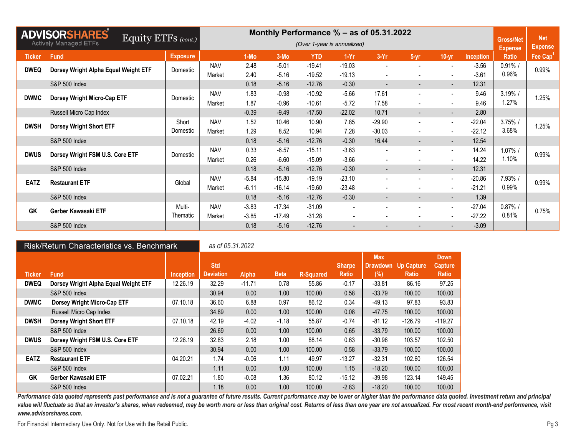|                                  | <b>ADVISORSHARES</b><br>Equity ETFS (cont.)   |                 |            | Monthly Performance $%$ – as of 05.31.2022 |          | <b>Gross/Net</b>         | <b>Net</b>                  |                          |                          |                          |                  |                |                |
|----------------------------------|-----------------------------------------------|-----------------|------------|--------------------------------------------|----------|--------------------------|-----------------------------|--------------------------|--------------------------|--------------------------|------------------|----------------|----------------|
|                                  | <b>Actively Managed ETFs</b>                  |                 |            |                                            |          |                          | (Over 1-year is annualized) |                          |                          |                          |                  | <b>Expense</b> | <b>Expense</b> |
| <b>Ticker</b>                    | <b>Fund</b>                                   | <b>Exposure</b> |            | $1-MO$                                     | $3-Mo$   | <b>YTD</b>               | $1-Yr$                      | $3-Yr$                   | $5-yr$                   | $10 - yr$                | <b>Inception</b> | <b>Ratio</b>   | Fee $Cap1$     |
| <b>DWEQ</b>                      | Dorsey Wright Alpha Equal Weight ETF          | Domestic        | <b>NAV</b> | 2.48                                       | $-5.01$  | $-19.41$                 | $-19.03$                    |                          |                          |                          | $-3.56$          | $0.91\%$ /     | 0.99%          |
|                                  |                                               |                 | Market     | 2.40                                       | $-5.16$  | $-19.52$                 | $-19.13$                    |                          |                          | $\overline{\phantom{a}}$ | $-3.61$          | 0.96%          |                |
|                                  | S&P 500 Index                                 |                 |            | 0.18                                       | $-5.16$  | $-12.76$                 | $-0.30$                     |                          |                          | $\overline{\phantom{a}}$ | 12.31            |                |                |
| <b>DWMC</b>                      | Dorsey Wright Micro-Cap ETF                   | Domestic        | <b>NAV</b> | 1.83                                       | $-0.98$  | $-10.92$                 | $-5.66$                     | 17.61                    |                          | $\blacksquare$           | 9.46             | $3.19%$ /      | 1.25%          |
|                                  |                                               |                 | Market     | 1.87                                       | $-0.96$  | $-10.61$                 | $-5.72$                     | 17.58                    |                          | $\overline{\phantom{a}}$ | 9.46             | 1.27%          |                |
|                                  | Russell Micro Cap Index                       |                 |            | $-0.39$                                    | $-9.49$  | $-17.50$                 | $-22.02$                    | 10.71                    | $\overline{\phantom{a}}$ | $\overline{\phantom{a}}$ | 2.80             |                |                |
|                                  |                                               | Short           | <b>NAV</b> | 1.52                                       | 10.46    | 10.90                    | 7.85                        | $-29.90$                 |                          | $\blacksquare$           | $-22.04$         | $3.75%$ /      | 1.25%          |
|                                  | <b>DWSH</b><br><b>Dorsey Wright Short ETF</b> | Domestic        | Market     | 1.29                                       | 8.52     | 10.94                    | 7.28                        | $-30.03$                 |                          | $\overline{\phantom{a}}$ | $-22.12$         | 3.68%          |                |
|                                  | S&P 500 Index                                 |                 |            | 0.18                                       | $-5.16$  | $-12.76$                 | $-0.30$                     | 16.44                    |                          | $\overline{\phantom{a}}$ | 12.54            |                |                |
| <b>DWUS</b>                      | Dorsey Wright FSM U.S. Core ETF               | Domestic        | <b>NAV</b> | 0.33                                       | $-6.57$  | $-15.11$                 | $-3.63$                     |                          |                          | $\blacksquare$           | 14.24            | $1.07\%$ /     | 0.99%          |
|                                  |                                               |                 | Market     | 0.26                                       | $-6.60$  | $-15.09$                 | $-3.66$                     |                          |                          | $\blacksquare$           | 14.22            | 1.10%          |                |
|                                  | S&P 500 Index                                 |                 |            | 0.18                                       | $-5.16$  | $-12.76$                 | $-0.30$                     | $\overline{\phantom{a}}$ | $\overline{\phantom{a}}$ | $\overline{\phantom{a}}$ | 12.31            |                |                |
| <b>EATZ</b>                      | <b>Restaurant ETF</b>                         | Global          | <b>NAV</b> | $-5.84$                                    | $-15.80$ | $-19.19$                 | $-23.10$                    |                          |                          | Ξ.                       | $-20.86$         | 7.93% /        | 0.99%          |
|                                  |                                               |                 | Market     | $-6.11$                                    | $-16.14$ | $-19.60$                 | $-23.48$                    |                          |                          | $\overline{\phantom{a}}$ | $-21.21$         | 0.99%          |                |
|                                  | S&P 500 Index                                 |                 |            | 0.18                                       | $-5.16$  | $-12.76$                 | $-0.30$                     | $\blacksquare$           | $\overline{\phantom{a}}$ | $\sim$                   | 1.39             |                |                |
|                                  |                                               | Multi-          | <b>NAV</b> | $-3.83$                                    | $-17.34$ | $-31.09$                 | $\overline{\phantom{a}}$    |                          |                          | $\blacksquare$           | $-27.04$         | $0.87%$ /      | 0.75%          |
| <b>GK</b><br>Gerber Kawasaki ETF | Thematic                                      | Market          | $-3.85$    | $-17.49$                                   | $-31.28$ | $\overline{\phantom{a}}$ |                             |                          | $\overline{\phantom{a}}$ | $-27.22$                 | 0.81%            |                |                |
|                                  | S&P 500 Index                                 |                 |            | 0.18                                       | $-5.16$  | $-12.76$                 |                             |                          |                          |                          | $-3.09$          |                |                |

|               | Risk/Return Characteristics vs. Benchmark |           | as of 05.31.2022               |              |             |                  |                               |                                      |                                   |                                               |
|---------------|-------------------------------------------|-----------|--------------------------------|--------------|-------------|------------------|-------------------------------|--------------------------------------|-----------------------------------|-----------------------------------------------|
| <b>Ticker</b> | <b>Fund</b>                               | Inception | <b>Std</b><br><b>Deviation</b> | <b>Alpha</b> | <b>Beta</b> | <b>R-Squared</b> | <b>Sharpe</b><br><b>Ratio</b> | <b>Max</b><br><b>Drawdown</b><br>(%) | <b>Up Capture</b><br><b>Ratio</b> | <b>Down</b><br><b>Capture</b><br><b>Ratio</b> |
| <b>DWEQ</b>   | Dorsey Wright Alpha Equal Weight ETF      | 12.26.19  | 32.29                          | $-11.71$     | 0.78        | 55.86            | $-0.17$                       | $-33.81$                             | 86.16                             | 97.25                                         |
|               | <b>S&amp;P 500 Index</b>                  |           | 30.94                          | 0.00         | 1.00        | 100.00           | 0.58                          | $-33.79$                             | 100.00                            | 100.00                                        |
| <b>DWMC</b>   | Dorsey Wright Micro-Cap ETF               | 07.10.18  | 36.60                          | 6.88         | 0.97        | 86.12            | 0.34                          | -49.13                               | 97.83                             | 93.83                                         |
|               | Russell Micro Cap Index                   |           | 34.89                          | 0.00         | 1.00        | 100.00           | 0.08                          | $-47.75$                             | 100.00                            | 100.00                                        |
| <b>DWSH</b>   | <b>Dorsey Wright Short ETF</b>            | 07.10.18  | 42.19                          | $-4.02$      | $-1.18$     | 55.87            | $-0.74$                       | $-81.12$                             | $-126.79$                         | $-119.27$                                     |
|               | <b>S&amp;P 500 Index</b>                  |           | 26.69                          | 0.00         | 1.00        | 100.00           | 0.65                          | $-33.79$                             | 100.00                            | 100.00                                        |
| <b>DWUS</b>   | Dorsey Wright FSM U.S. Core ETF           | 12.26.19  | 32.83                          | 2.18         | 1.00        | 88.14            | 0.63                          | $-30.96$                             | 103.57                            | 102.50                                        |
|               | <b>S&amp;P 500 Index</b>                  |           | 30.94                          | 0.00         | 1.00        | 100.00           | 0.58                          | $-33.79$                             | 100.00                            | 100.00                                        |
| <b>EATZ</b>   | <b>Restaurant ETF</b>                     | 04.20.21  | 1.74                           | $-0.06$      | 1.11        | 49.97            | $-13.27$                      | $-32.31$                             | 102.60                            | 126.54                                        |
|               | <b>S&amp;P 500 Index</b>                  |           | 1.11                           | 0.00         | 1.00        | 100.00           | 1.15                          | $-18.20$                             | 100.00                            | 100.00                                        |
| GK            | Gerber Kawasaki ETF                       | 07.02.21  | 1.80                           | $-0.08$      | 1.36        | 80.12            | $-15.12$                      | $-39.98$                             | 123.14                            | 149.45                                        |
|               | <b>S&amp;P 500 Index</b>                  |           | 1.18                           | 0.00         | 1.00        | 100.00           | $-2.83$                       | $-18.20$                             | 100.00                            | 100.00                                        |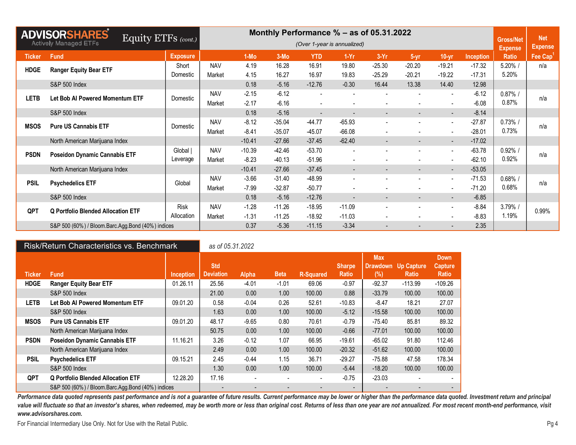|               | <b>ADVISORSHARES</b><br>Equity ETFS (cont.)<br><b>Actively Managed ETFs</b> |                      | Monthly Performance $%$ – as of 05.31.2022<br>(Over 1-year is annualized) |                     |                      |                          |                                                      |                          |                          |                                                      |                      |                                | <b>Net</b>                             |
|---------------|-----------------------------------------------------------------------------|----------------------|---------------------------------------------------------------------------|---------------------|----------------------|--------------------------|------------------------------------------------------|--------------------------|--------------------------|------------------------------------------------------|----------------------|--------------------------------|----------------------------------------|
| <b>Ticker</b> | <b>Fund</b>                                                                 | <b>Exposure</b>      |                                                                           | $1-MO$              | $3-Mo$               | <b>YTD</b>               | $1-Yr$                                               | $3-Yr$                   | $5-yr$                   | $10 - yr$                                            | <b>Inception</b>     | <b>Expense</b><br><b>Ratio</b> | <b>Expense</b><br>Fee Cap <sup>1</sup> |
| <b>HDGE</b>   | <b>Ranger Equity Bear ETF</b>                                               | Short<br>Domestic    | <b>NAV</b><br>Market                                                      | 4.19<br>4.15        | 16.28<br>16.27       | 16.91<br>16.97           | 19.80<br>19.83                                       | $-25.30$<br>$-25.29$     | $-20.20$<br>$-20.21$     | $-19.21$<br>$-19.22$                                 | $-17.32$<br>$-17.31$ | $5.20\%$ /<br>5.20%            | n/a                                    |
|               | S&P 500 Index                                                               |                      |                                                                           | 0.18                | $-5.16$              | $-12.76$                 | $-0.30$                                              | 16.44                    | 13.38                    | 14.40                                                | 12.98                |                                |                                        |
| <b>LETB</b>   | Let Bob AI Powered Momentum ETF                                             | Domestic             | <b>NAV</b><br>Market                                                      | $-2.15$<br>$-2.17$  | $-6.12$<br>$-6.16$   | $\overline{\phantom{a}}$ | $\overline{\phantom{a}}$<br>$\overline{\phantom{0}}$ |                          |                          | $\overline{\phantom{a}}$<br>$\overline{\phantom{0}}$ | $-6.12$<br>$-6.08$   | $0.87\%$ /<br>0.87%            | n/a                                    |
|               | S&P 500 Index                                                               |                      |                                                                           | 0.18                | $-5.16$              |                          | $\overline{\phantom{a}}$                             | $\overline{\phantom{a}}$ |                          | $\overline{\phantom{a}}$                             | $-8.14$              |                                |                                        |
| <b>MSOS</b>   | <b>Pure US Cannabis ETF</b>                                                 | Domestic             | <b>NAV</b><br>Market                                                      | $-8.12$<br>$-8.41$  | $-35.04$<br>$-35.07$ | $-44.77$<br>$-45.07$     | $-65.93$<br>$-66.08$                                 | $\blacksquare$           |                          | $\blacksquare$<br>$\overline{\phantom{a}}$           | $-27.87$<br>$-28.01$ | $0.73%$ /<br>0.73%             | n/a                                    |
|               | North American Marijuana Index                                              |                      |                                                                           | $-10.41$            | $-27.66$             | $-37.45$                 | $-62.40$                                             | $\overline{\phantom{a}}$ | $\overline{\phantom{a}}$ | $\sim$                                               | $-17.02$             |                                |                                        |
| <b>PSDN</b>   | <b>Poseidon Dynamic Cannabis ETF</b>                                        | Global  <br>Leverage | <b>NAV</b><br>Market                                                      | $-10.39$<br>$-8.23$ | $-42.46$<br>$-40.13$ | $-53.70$<br>$-51.96$     | $\blacksquare$<br>$\overline{\phantom{a}}$           |                          |                          | $\blacksquare$<br>$\overline{\phantom{a}}$           | $-63.78$<br>$-62.10$ | $0.92%$ /<br>0.92%             | n/a                                    |
|               | North American Marijuana Index                                              |                      |                                                                           | $-10.41$            | $-27.66$             | $-37.45$                 | $\sim$                                               | $\blacksquare$           | $\overline{\phantom{a}}$ | $\sim$                                               | $-53.05$             |                                |                                        |
| <b>PSIL</b>   | <b>Psychedelics ETF</b>                                                     | Global               | <b>NAV</b><br>Market                                                      | $-3.66$<br>$-7.99$  | $-31.40$<br>$-32.87$ | $-48.99$<br>$-50.77$     | $\overline{\phantom{a}}$<br>$\overline{\phantom{a}}$ |                          |                          | $\blacksquare$<br>$\overline{\phantom{a}}$           | $-71.53$<br>$-71.20$ | $0.68\%$ /<br>0.68%            | n/a                                    |
|               | S&P 500 Index                                                               |                      |                                                                           | 0.18                | $-5.16$              | $-12.76$                 | $\overline{\phantom{a}}$                             | $\sim$                   |                          | $\sim$                                               | $-6.85$              |                                |                                        |
| <b>QPT</b>    | <b>Q Portfolio Blended Allocation ETF</b>                                   | Risk<br>Allocation   | <b>NAV</b><br>Market                                                      | $-1.28$<br>$-1.31$  | $-11.26$<br>$-11.25$ | $-18.95$<br>$-18.92$     | $-11.09$<br>$-11.03$                                 |                          |                          | $\overline{\phantom{a}}$<br>$\overline{\phantom{a}}$ | $-8.84$<br>$-8.83$   | 3.79% /<br>1.19%               | 0.99%                                  |
|               | S&P 500 (60%) / Bloom.Barc.Agg.Bond (40%) indices                           |                      |                                                                           | 0.37                | $-5.36$              | $-11.15$                 | $-3.34$                                              |                          |                          |                                                      | 2.35                 |                                |                                        |

|               | Risk/Return Characteristics vs. Benchmark         |                  | as of 05.31.2022               |         |                          |                  |                               |                                      |                                   |                                               |
|---------------|---------------------------------------------------|------------------|--------------------------------|---------|--------------------------|------------------|-------------------------------|--------------------------------------|-----------------------------------|-----------------------------------------------|
| <b>Ticker</b> | <b>Fund</b>                                       | <b>Inception</b> | <b>Std</b><br><b>Deviation</b> | Alpha   | <b>Beta</b>              | <b>R-Squared</b> | <b>Sharpe</b><br><b>Ratio</b> | <b>Max</b><br><b>Drawdown</b><br>(%) | <b>Up Capture</b><br><b>Ratio</b> | <b>Down</b><br><b>Capture</b><br><b>Ratio</b> |
| <b>HDGE</b>   | <b>Ranger Equity Bear ETF</b>                     | 01.26.11         | 25.56                          | $-4.01$ | $-1.01$                  | 69.06            | $-0.97$                       | $-92.37$                             | $-113.99$                         | $-109.26$                                     |
|               | S&P 500 Index                                     |                  | 21.00                          | 0.00    | 1.00                     | 100.00           | 0.88                          | $-33.79$                             | 100.00                            | 100.00                                        |
| <b>LETB</b>   | Let Bob Al Powered Momentum ETF                   | 09.01.20         | 0.58                           | $-0.04$ | 0.26                     | 52.61            | $-10.83$                      | $-8.47$                              | 18.21                             | 27.07                                         |
|               | <b>S&amp;P 500 Index</b>                          |                  | 1.63                           | 0.00    | 1.00                     | 100.00           | $-5.12$                       | $-15.58$                             | 100.00                            | 100.00                                        |
| <b>MSOS</b>   | <b>Pure US Cannabis ETF</b>                       | 09.01.20         | 48.17                          | $-9.65$ | 0.80                     | 70.61            | $-0.79$                       | $-75.40$                             | 85.81                             | 89.32                                         |
|               | North American Marijuana Index                    |                  | 50.75                          | 0.00    | 1.00                     | 100.00           | $-0.66$                       | $-77.01$                             | 100.00                            | 100.00                                        |
| <b>PSDN</b>   | <b>Poseidon Dynamic Cannabis ETF</b>              | 11.16.21         | 3.26                           | $-0.12$ | 1.07                     | 66.95            | $-19.61$                      | $-65.02$                             | 91.80                             | 112.46                                        |
|               | North American Marijuana Index                    |                  | 2.49                           | 0.00    | 1.00                     | 100.00           | $-20.32$                      | $-51.62$                             | 100.00                            | 100.00                                        |
| <b>PSIL</b>   | <b>Psychedelics ETF</b>                           | 09.15.21         | 2.45                           | $-0.44$ | 1.15                     | 36.71            | $-29.27$                      | $-75.88$                             | 47.58                             | 178.34                                        |
|               | S&P 500 Index                                     |                  | 1.30                           | 0.00    | 1.00                     | 100.00           | $-5.44$                       | $-18.20$                             | 100.00                            | 100.00                                        |
| <b>QPT</b>    | <b>Q Portfolio Blended Allocation ETF</b>         | 12.28.20         | 17.16                          |         | $\overline{\phantom{0}}$ |                  | $-0.75$                       | $-23.03$                             | $\overline{\phantom{0}}$          |                                               |
|               | S&P 500 (60%) / Bloom.Barc.Agg.Bond (40%) indices |                  |                                |         |                          |                  | $\overline{\phantom{a}}$      |                                      |                                   |                                               |

For Financial Intermediary Use Only. Not for Use with the Retail Public. Pg 4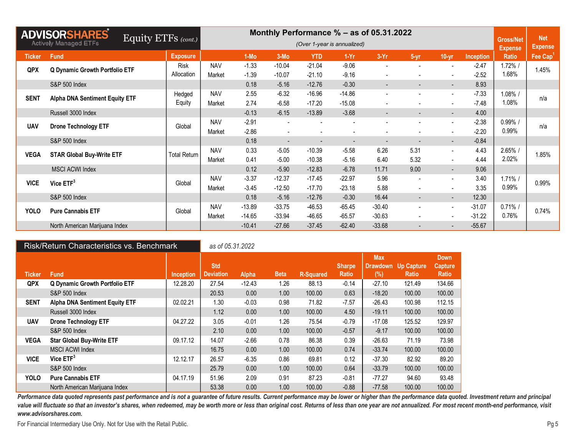|                                           | <b>ADVISORSHARES</b><br>Equity ETFS (cont.) |                     |            |          |                |                          |                             | Monthly Performance $%$ – as of 05.31.2022 |                          |                          |                  | <b>Gross/Net</b> | <b>Net</b>     |
|-------------------------------------------|---------------------------------------------|---------------------|------------|----------|----------------|--------------------------|-----------------------------|--------------------------------------------|--------------------------|--------------------------|------------------|------------------|----------------|
|                                           | <b>Actively Managed ETFs</b>                |                     |            |          |                |                          | (Over 1-year is annualized) |                                            |                          |                          |                  | <b>Expense</b>   | <b>Expense</b> |
| <b>Ticker</b>                             | <b>Fund</b>                                 | <b>Exposure</b>     |            | $1-MO$   | $3-Mo$         | <b>YTD</b>               | $1-Yr$                      | $3-Yr$                                     | $5-yr$                   | $10-yr$                  | <b>Inception</b> | <b>Ratio</b>     | Fee $Cap1$     |
| <b>QPX</b>                                | <b>Q Dynamic Growth Portfolio ETF</b>       | Risk                | <b>NAV</b> | $-1.33$  | $-10.04$       | $-21.04$                 | $-9.06$                     |                                            |                          |                          | $-2.47$          | $1.72%$ /        | 1.45%          |
|                                           |                                             | Allocation          | Market     | $-1.39$  | $-10.07$       | $-21.10$                 | $-9.16$                     |                                            |                          | $\overline{\phantom{a}}$ | $-2.52$          | 1.68%            |                |
|                                           | S&P 500 Index                               |                     |            | 0.18     | $-5.16$        | $-12.76$                 | $-0.30$                     |                                            |                          | $\overline{\phantom{a}}$ | 8.93             |                  |                |
| <b>SENT</b>                               | <b>Alpha DNA Sentiment Equity ETF</b>       | Hedged              | <b>NAV</b> | 2.55     | $-6.32$        | $-16.96$                 | $-14.86$                    |                                            |                          | $\overline{\phantom{a}}$ | $-7.33$          | 1.08% /          | n/a            |
|                                           |                                             | Equity              | Market     | 2.74     | $-6.58$        | $-17.20$                 | $-15.08$                    |                                            |                          | $\sim$                   | $-7.48$          | 1.08%            |                |
|                                           | Russell 3000 Index                          |                     |            | $-0.13$  | $-6.15$        | $-13.89$                 | $-3.68$                     |                                            |                          | $\overline{\phantom{a}}$ | 4.00             |                  |                |
|                                           |                                             | Global              | <b>NAV</b> | $-2.91$  | $\blacksquare$ |                          |                             |                                            |                          | $\overline{\phantom{a}}$ | $-2.38$          | $0.99\%$ /       | n/a            |
| <b>UAV</b><br><b>Drone Technology ETF</b> |                                             | Market              | $-2.86$    |          |                |                          |                             |                                            |                          | $-2.20$                  | 0.99%            |                  |                |
|                                           | S&P 500 Index                               |                     |            | 0.18     | $\blacksquare$ | $\overline{\phantom{a}}$ | $\overline{\phantom{a}}$    |                                            |                          | $\blacksquare$           | $-0.84$          |                  |                |
| <b>VEGA</b>                               | <b>STAR Global Buy-Write ETF</b>            | <b>Total Return</b> | <b>NAV</b> | 0.33     | $-5.05$        | $-10.39$                 | $-5.58$                     | 6.26                                       | 5.31                     | $\overline{\phantom{a}}$ | 4.43             | $2.65%$ /        | 1.85%          |
|                                           |                                             |                     | Market     | 0.41     | $-5.00$        | $-10.38$                 | $-5.16$                     | 6.40                                       | 5.32                     |                          | 4.44             | 2.02%            |                |
|                                           | <b>MSCI ACWI Index</b>                      |                     |            | 0.12     | $-5.90$        | $-12.83$                 | $-6.78$                     | 11.71                                      | 9.00                     | $\overline{\phantom{a}}$ | 9.06             |                  |                |
| <b>VICE</b>                               | Vice $ETF3$                                 | Global              | <b>NAV</b> | $-3.37$  | $-12.37$       | $-17.45$                 | $-22.97$                    | 5.96                                       | $\overline{\phantom{a}}$ | $\overline{\phantom{a}}$ | 3.40             | $1.71\%$         | 0.99%          |
|                                           |                                             |                     | Market     | $-3.45$  | $-12.50$       | $-17.70$                 | $-23.18$                    | 5.88                                       |                          | $\overline{\phantom{a}}$ | 3.35             | 0.99%            |                |
|                                           | S&P 500 Index                               |                     |            | 0.18     | $-5.16$        | $-12.76$                 | $-0.30$                     | 16.44                                      |                          | $\sim$                   | 12.30            |                  |                |
| <b>YOLO</b>                               |                                             | Global              | <b>NAV</b> | $-13.89$ | $-33.75$       | $-46.53$                 | $-65.45$                    | $-30.40$                                   |                          | $\sim$                   | $-31.07$         | $0.71\%$ /       | 0.74%          |
|                                           | <b>Pure Cannabis ETF</b>                    |                     | Market     | $-14.65$ | $-33.94$       | $-46.65$                 | $-65.57$                    | $-30.63$                                   |                          | $\overline{\phantom{a}}$ | $-31.22$         | 0.76%            |                |
|                                           | North American Marijuana Index              |                     |            | $-10.41$ | $-27.66$       | $-37.45$                 | $-62.40$                    | $-33.68$                                   |                          | $\blacksquare$           | $-55.67$         |                  |                |

|               | Risk/Return Characteristics vs. Benchmark |                  | as of 05.31.2022               |              |             |                  |                               |                                      |                                   |                                               |
|---------------|-------------------------------------------|------------------|--------------------------------|--------------|-------------|------------------|-------------------------------|--------------------------------------|-----------------------------------|-----------------------------------------------|
| <b>∐icker</b> | <b>Fund</b>                               | <b>Inception</b> | <b>Std</b><br><b>Deviation</b> | <b>Alpha</b> | <b>Beta</b> | <b>R-Squared</b> | <b>Sharpe</b><br><b>Ratio</b> | <b>Max</b><br><b>Drawdown</b><br>(%) | <b>Up Capture</b><br><b>Ratio</b> | <b>Down</b><br><b>Capture</b><br><b>Ratio</b> |
| <b>QPX</b>    | Q Dynamic Growth Portfolio ETF            | 12.28.20         | 27.54                          | $-12.43$     | 1.26        | 88.13            | $-0.14$                       | -27.10                               | 121.49                            | 134.66                                        |
|               | S&P 500 Index                             |                  | 20.53                          | 0.00         | 1.00        | 100.00           | 0.63                          | $-18.20$                             | 100.00                            | 100.00                                        |
| <b>SENT</b>   | <b>Alpha DNA Sentiment Equity ETF</b>     | 02.02.21         | 1.30                           | $-0.03$      | 0.98        | 71.82            | $-7.57$                       | $-26.43$                             | 100.98                            | 112.15                                        |
|               | Russell 3000 Index                        |                  | 1.12                           | 0.00         | 1.00        | 100.00           | 4.50                          | $-19.11$                             | 100.00                            | 100.00                                        |
| <b>UAV</b>    | <b>Drone Technology ETF</b>               | 04.27.22         | 3.05                           | $-0.01$      | 1.26        | 75.54            | $-0.79$                       | $-17.08$                             | 125.52                            | 129.97                                        |
|               | S&P 500 Index                             |                  | 2.10                           | 0.00         | 1.00        | 100.00           | $-0.57$                       | $-9.17$                              | 100.00                            | 100.00                                        |
| <b>VEGA</b>   | <b>Star Global Buy-Write ETF</b>          | 09.17.12         | 14.07                          | $-2.66$      | 0.78        | 86.38            | 0.39                          | $-26.63$                             | 71.19                             | 73.98                                         |
|               | <b>MSCI ACWI Index</b>                    |                  | 16.75                          | 0.00         | 1.00        | 100.00           | 0.74                          | $-33.74$                             | 100.00                            | 100.00                                        |
| <b>VICE</b>   | Vice $ETF3$                               | 12.12.17         | 26.57                          | $-6.35$      | 0.86        | 69.81            | 0.12                          | $-37.30$                             | 82.92                             | 89.20                                         |
|               | S&P 500 Index                             |                  | 25.79                          | 0.00         | 1.00        | 100.00           | 0.64                          | $-33.79$                             | 100.00                            | 100.00                                        |
| <b>YOLO</b>   | <b>Pure Cannabis ETF</b>                  | 04.17.19         | 51.96                          | 2.09         | 0.91        | 87.23            | $-0.81$                       | $-77.27$                             | 94.60                             | 93.48                                         |
|               | North American Marijuana Index            |                  | 53.38                          | 0.00         | 1.00        | 100.00           | $-0.88$                       | $-77.58$                             | 100.00                            | 100.00                                        |

For Financial Intermediary Use Only. Not for Use with the Retail Public. Pg 5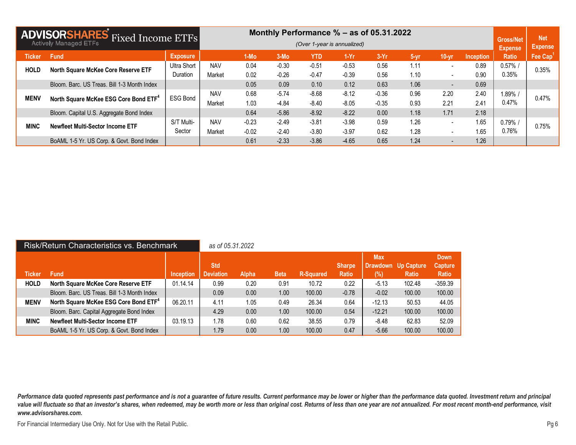| <b>ADVISORSHARES</b> Fixed Income ETFs<br><b>Actively Managed ETFs</b> |                                                   |                    | Monthly Performance $%$ – as of 05.31.2022<br>(Over 1-year is annualized) |         |         |            |         |         |          |                          | <b>Gross/Net</b><br><b>Expense</b> | <b>Net</b><br><b>Expense</b> |                      |
|------------------------------------------------------------------------|---------------------------------------------------|--------------------|---------------------------------------------------------------------------|---------|---------|------------|---------|---------|----------|--------------------------|------------------------------------|------------------------------|----------------------|
| <b>Ticker</b>                                                          | <b>Fund</b>                                       | <b>Exposure</b>    |                                                                           | $1-MO$  | $3-Mo$  | <b>YTD</b> | $1-Yr$  | $3-Yr$  | $5 - yr$ | $10 - vr$                | <b>Inception</b>                   | <b>Ratio</b>                 | Fee Cap <sup>1</sup> |
| <b>HOLD</b>                                                            | North Square McKee Core Reserve ETF               | <b>Ultra Short</b> | <b>NAV</b>                                                                | 0.04    | $-0.30$ | $-0.51$    | $-0.53$ | 0.56    | 1.11     | $\overline{\phantom{0}}$ | 0.89                               | $0.57%$ /                    | 0.35%                |
|                                                                        |                                                   | Duration           | Market                                                                    | 0.02    | $-0.26$ | $-0.47$    | $-0.39$ | 0.56    | 1.10     | $\overline{\phantom{0}}$ | 0.90                               | 0.35%                        |                      |
|                                                                        | Bloom. Barc. US Treas. Bill 1-3 Month Index       |                    |                                                                           | 0.05    | 0.09    | 0.10       | 0.12    | 0.63    | 1.06     | $\overline{\phantom{a}}$ | 0.69                               |                              |                      |
| <b>MENV</b>                                                            | North Square McKee ESG Core Bond ETF <sup>4</sup> | ESG Bond           | <b>NAV</b>                                                                | 0.68    | $-5.74$ | $-8.68$    | $-8.12$ | $-0.36$ | 0.96     | 2.20                     | 2.40                               | 1.89%                        | 0.47%                |
|                                                                        |                                                   |                    | Market                                                                    | 1.03    | $-4.84$ | $-8.40$    | $-8.05$ | $-0.35$ | 0.93     | 2.21                     | 2.41                               | 0.47%                        |                      |
|                                                                        | Bloom. Capital U.S. Aggregate Bond Index          |                    |                                                                           | 0.64    | $-5.86$ | $-8.92$    | $-8.22$ | 0.00    | 1.18     | 1.71                     | 2.18                               |                              |                      |
| <b>MINC</b>                                                            | Newfleet Multi-Sector Income ETF                  | S/T Multi-         | <b>NAV</b>                                                                | $-0.23$ | $-2.49$ | $-3.81$    | $-3.98$ | 0.59    | 1.26     |                          | 1.65                               | $0.79%$ /                    | 0.75%                |
|                                                                        |                                                   | Sector             | Market                                                                    | $-0.02$ | $-2.40$ | $-3.80$    | $-3.97$ | 0.62    | 1.28     | $\overline{\phantom{0}}$ | 1.65                               | 0.76%                        |                      |
|                                                                        | BoAML 1-5 Yr. US Corp. & Govt. Bond Index         |                    |                                                                           | 0.61    | $-2.33$ | $-3.86$    | $-4.65$ | 0.65    | 1.24     | $\overline{\phantom{0}}$ | 1.26                               |                              |                      |

| <b>Risk/Return Characteristics vs. Benchmark</b> |                                                   |           |                                | as of 05.31.2022 |             |                  |                               |                               |                                   |                                        |  |
|--------------------------------------------------|---------------------------------------------------|-----------|--------------------------------|------------------|-------------|------------------|-------------------------------|-------------------------------|-----------------------------------|----------------------------------------|--|
| <b>Ticker</b>                                    | <b>Fund</b>                                       | Inception | <b>Std</b><br><b>Deviation</b> | <b>Alpha</b>     | <b>Beta</b> | <b>R-Squared</b> | <b>Sharpe</b><br><b>Ratio</b> | <b>Max</b><br>Drawdown<br>(%) | <b>Up Capture</b><br><b>Ratio</b> | Down<br><b>Capture</b><br><b>Ratio</b> |  |
| <b>HOLD</b>                                      | North Square McKee Core Reserve ETF               | 01.14.14  | 0.99                           | 0.20             | 0.91        | 10.72            | 0.22                          | $-5.13$                       | 102.48                            | $-359.39$                              |  |
|                                                  | Bloom, Barc, US Treas, Bill 1-3 Month Index       |           | 0.09                           | 0.00             | 1.00        | 100.00           | $-0.78$                       | $-0.02$                       | 100.00                            | 100.00                                 |  |
| <b>MENV</b>                                      | North Square McKee ESG Core Bond ETF <sup>4</sup> | 06.20.11  | 4.11                           | 1.05             | 0.49        | 26.34            | 0.64                          | $-12.13$                      | 50.53                             | 44.05                                  |  |
|                                                  | Bloom. Barc. Capital Aggregate Bond Index         |           | 4.29                           | 0.00             | 1.00        | 100.00           | 0.54                          | $-12.21$                      | 100.00                            | 100.00                                 |  |
| <b>MINC</b>                                      | Newfleet Multi-Sector Income ETF                  | 03.19.13  | 1.78                           | 0.60             | 0.62        | 38.55            | 0.79                          | $-8.48$                       | 62.83                             | 52.09                                  |  |
|                                                  | BoAML 1-5 Yr. US Corp. & Govt. Bond Index         |           | 1.79                           | 0.00             | 1.00        | 100.00           | 0.47                          | $-5.66$                       | 100.00                            | 100.00                                 |  |

For Financial Intermediary Use Only. Not for Use with the Retail Public. Public example of the Retail Public.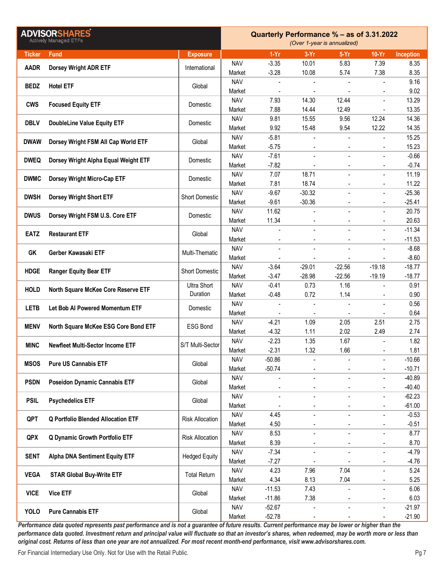| <b>ADVISORSHARES</b><br>Actively Managed ETFs |                                           |                                | Quarterly Performance % - as of 3.31.2022<br>(Over 1-year is annualized) |                          |                                                      |                                            |                               |                     |  |  |
|-----------------------------------------------|-------------------------------------------|--------------------------------|--------------------------------------------------------------------------|--------------------------|------------------------------------------------------|--------------------------------------------|-------------------------------|---------------------|--|--|
| <b>Ticker</b>                                 | <b>Fund</b>                               | <b>Exposure</b>                |                                                                          | $1-Yr$                   | $3-Yr$                                               | $5-Yr$                                     | $10-Yr$                       | <b>Inception</b>    |  |  |
|                                               |                                           |                                | <b>NAV</b>                                                               | $-3.35$                  | 10.01                                                | 5.83                                       | 7.39                          | 8.35                |  |  |
| <b>AADR</b>                                   | Dorsey Wright ADR ETF                     | International                  | Market                                                                   | $-3.28$                  | 10.08                                                | 5.74                                       | 7.38                          | 8.35                |  |  |
|                                               |                                           |                                | <b>NAV</b>                                                               |                          |                                                      |                                            | $\blacksquare$                | 9.16                |  |  |
| <b>BEDZ</b>                                   | <b>Hotel ETF</b>                          | Global                         | Market                                                                   |                          |                                                      |                                            |                               | 9.02                |  |  |
|                                               |                                           |                                | <b>NAV</b>                                                               | 7.93                     | 14.30                                                | 12.44                                      | $\overline{\phantom{a}}$      | 13.29               |  |  |
| <b>CWS</b>                                    | <b>Focused Equity ETF</b>                 | Domestic                       | Market                                                                   | 7.88                     | 14.44                                                | 12.49                                      | $\overline{\phantom{a}}$      | 13.35               |  |  |
| <b>DBLV</b>                                   | <b>DoubleLine Value Equity ETF</b>        | Domestic                       | <b>NAV</b>                                                               | 9.81                     | 15.55                                                | 9.56                                       | 12.24                         | 14.36               |  |  |
|                                               |                                           |                                | Market                                                                   | 9.92                     | 15.48                                                | 9.54                                       | 12.22                         | 14.35               |  |  |
| <b>DWAW</b>                                   | Dorsey Wright FSM All Cap World ETF       | Global                         | <b>NAV</b>                                                               | $-5.81$                  |                                                      |                                            | $\overline{\phantom{a}}$      | 15.25               |  |  |
|                                               |                                           |                                | Market                                                                   | $-5.75$                  |                                                      |                                            | $\overline{\phantom{a}}$      | 15.23               |  |  |
| <b>DWEQ</b>                                   | Dorsey Wright Alpha Equal Weight ETF      | Domestic                       | <b>NAV</b>                                                               | $-7.61$                  | $\overline{a}$                                       |                                            | $\blacksquare$                | $-0.66$             |  |  |
|                                               |                                           |                                | Market                                                                   | $-7.82$                  |                                                      |                                            |                               | $-0.74$             |  |  |
| <b>DWMC</b>                                   | Dorsey Wright Micro-Cap ETF               |                                | <b>NAV</b>                                                               | 7.07                     | 18.71                                                |                                            | $\overline{a}$                | 11.19               |  |  |
|                                               |                                           | Domestic                       | Market                                                                   | 7.81                     | 18.74                                                |                                            | $\blacksquare$                | 11.22               |  |  |
| <b>DWSH</b>                                   | <b>Dorsey Wright Short ETF</b>            | <b>Short Domestic</b>          | <b>NAV</b>                                                               | $-9.67$                  | $-30.32$                                             |                                            |                               | $-25.36$            |  |  |
|                                               |                                           |                                | Market                                                                   | $-9.61$                  | $-30.36$                                             |                                            | $\overline{\phantom{a}}$      | $-25.41$            |  |  |
| <b>DWUS</b>                                   | Dorsey Wright FSM U.S. Core ETF           | Domestic                       | <b>NAV</b>                                                               | 11.62                    | $\overline{\phantom{a}}$                             | $\overline{\phantom{a}}$                   | $\overline{\phantom{a}}$      | 20.75               |  |  |
|                                               |                                           |                                | Market                                                                   | 11.34                    | $\overline{\phantom{a}}$                             |                                            | $\overline{\phantom{a}}$      | 20.63               |  |  |
| <b>EATZ</b>                                   | <b>Restaurant ETF</b>                     | Global                         | <b>NAV</b>                                                               |                          | $\overline{a}$                                       |                                            | $\blacksquare$                | $-11.34$            |  |  |
|                                               |                                           |                                | Market                                                                   |                          |                                                      |                                            |                               | $-11.53$            |  |  |
| GK                                            | Gerber Kawasaki ETF                       | Multi-Thematic                 | <b>NAV</b>                                                               |                          |                                                      |                                            |                               | $-8.68$             |  |  |
|                                               |                                           | <b>Short Domestic</b>          | Market<br><b>NAV</b>                                                     | $-3.64$                  | $-29.01$                                             | $-22.56$                                   | $-19.18$                      | $-8.60$<br>$-18.77$ |  |  |
| <b>HDGE</b>                                   | <b>Ranger Equity Bear ETF</b>             |                                | Market                                                                   | $-3.47$                  | $-28.98$                                             | $-22.56$                                   | $-19.19$                      | $-18.77$            |  |  |
|                                               | North Square McKee Core Reserve ETF       | <b>Ultra Short</b><br>Duration | <b>NAV</b>                                                               | $-0.41$                  | 0.73                                                 | 1.16                                       |                               | 0.91                |  |  |
| <b>HOLD</b>                                   |                                           |                                | Market                                                                   | $-0.48$                  | 0.72                                                 | 1.14                                       | $\overline{\phantom{a}}$      | 0.90                |  |  |
|                                               |                                           | Domestic                       | <b>NAV</b>                                                               | $\overline{a}$           | $\overline{a}$                                       | $\blacksquare$                             | $\overline{a}$                | 0.56                |  |  |
| <b>LETB</b>                                   | <b>Let Bob AI Powered Momentum ETF</b>    |                                | Market                                                                   | $\overline{\phantom{a}}$ |                                                      |                                            |                               | 0.64                |  |  |
|                                               |                                           |                                | <b>NAV</b>                                                               | $-4.21$                  | 1.09                                                 | 2.05                                       | 2.51                          | 2.75                |  |  |
| <b>MENV</b>                                   | North Square McKee ESG Core Bond ETF      | <b>ESG Bond</b>                | Market                                                                   | $-4.32$                  | 1.11                                                 | 2.02                                       | 2.49                          | 2.74                |  |  |
| <b>MINC</b>                                   | <b>Newfleet Multi-Sector Income ETF</b>   | S/T Multi-Sector               | <b>NAV</b>                                                               | $-2.23$                  | 1.35                                                 | 1.67                                       | $\overline{\phantom{a}}$      | 1.82                |  |  |
|                                               |                                           |                                | Market                                                                   | $-2.31$                  | 1.32                                                 | 1.66                                       |                               | 1.81                |  |  |
| <b>MSOS</b>                                   | <b>Pure US Cannabis ETF</b>               | Global                         | <b>NAV</b>                                                               | $-50.86$                 |                                                      |                                            |                               | $-10.66$            |  |  |
|                                               |                                           |                                | Market                                                                   | $-50.74$                 |                                                      |                                            | $\overline{\phantom{a}}$      | $-10.71$            |  |  |
| <b>PSDN</b>                                   | <b>Poseidon Dynamic Cannabis ETF</b>      | Global                         | <b>NAV</b>                                                               |                          | $\overline{a}$                                       |                                            | $\overline{\phantom{a}}$      | $-40.89$            |  |  |
|                                               |                                           |                                | Market                                                                   |                          |                                                      |                                            |                               | $-40.40$            |  |  |
| <b>PSIL</b>                                   | <b>Psychedelics ETF</b>                   | Global                         | <b>NAV</b>                                                               |                          | ÷                                                    |                                            | ÷                             | $-62.23$            |  |  |
|                                               |                                           |                                | Market                                                                   |                          |                                                      |                                            | $\overline{\phantom{a}}$      | $-61.00$            |  |  |
| <b>QPT</b>                                    | <b>Q Portfolio Blended Allocation ETF</b> | <b>Risk Allocation</b>         | <b>NAV</b>                                                               | 4.45                     | ÷                                                    |                                            | $\overline{a}$                | $-0.53$             |  |  |
|                                               |                                           |                                | Market                                                                   | 4.50                     |                                                      |                                            | $\overline{\phantom{a}}$      | $-0.51$             |  |  |
| <b>QPX</b>                                    | <b>Q Dynamic Growth Portfolio ETF</b>     | <b>Risk Allocation</b>         | <b>NAV</b>                                                               | 8.53                     | $\blacksquare$                                       |                                            | $\overline{\phantom{a}}$      | 8.77                |  |  |
|                                               |                                           | <b>Hedged Equity</b>           | Market<br><b>NAV</b>                                                     | 8.39<br>$-7.34$          | $\overline{\phantom{a}}$<br>$\overline{\phantom{a}}$ | $\overline{\phantom{a}}$<br>$\blacksquare$ | $\overline{\phantom{a}}$      | 8.70<br>$-4.79$     |  |  |
| <b>SENT</b>                                   | <b>Alpha DNA Sentiment Equity ETF</b>     |                                | Market                                                                   | $-7.27$                  | ÷                                                    |                                            | $\overline{\phantom{a}}$<br>÷ | $-4.76$             |  |  |
|                                               |                                           |                                | <b>NAV</b>                                                               | 4.23                     | 7.96                                                 | 7.04                                       | $\overline{\phantom{a}}$      | 5.24                |  |  |
| <b>VEGA</b>                                   | <b>STAR Global Buy-Write ETF</b>          | <b>Total Return</b>            | Market                                                                   | 4.34                     | 8.13                                                 | 7.04                                       | $\overline{\phantom{0}}$      | 5.25                |  |  |
|                                               |                                           | Global                         | <b>NAV</b>                                                               | $-11.53$                 | 7.43                                                 |                                            | $\overline{a}$                | 6.06                |  |  |
| <b>VICE</b>                                   | <b>Vice ETF</b>                           |                                | Market                                                                   | $-11.86$                 | 7.38                                                 |                                            | $\overline{\phantom{a}}$      | 6.03                |  |  |
|                                               |                                           |                                | <b>NAV</b>                                                               | $-52.67$                 |                                                      |                                            | $\blacksquare$                | $-21.97$            |  |  |
| <b>Pure Cannabis ETF</b><br><b>YOLO</b>       |                                           | Global                         | Market                                                                   | $-52.78$                 |                                                      |                                            | $\overline{\phantom{a}}$      | $-21.90$            |  |  |

For Financial Intermediary Use Only. Not for Use with the Retail Public. Public example of the Use of Pg 7 Pg 7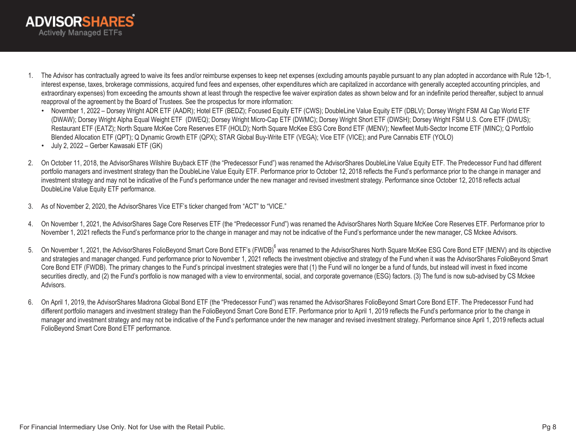

- 1. The Advisor has contractually agreed to waive its fees and/or reimburse expenses to keep net expenses (excluding amounts payable pursuant to any plan adopted in accordance with Rule 12b-1, interest expense, taxes, brokerage commissions, acquired fund fees and expenses, other expenditures which are capitalized in accordance with generally accepted accounting principles, and extraordinary expenses) from exceeding the amounts shown at least through the respective fee waiver expiration dates as shown below and for an indefinite period thereafter, subject to annual reapproval of the agreement by the Board of Trustees. See the prospectus for more information:
	- November 1, 2022 Dorsey Wright ADR ETF (AADR); Hotel ETF (BEDZ); Focused Equity ETF (CWS); DoubleLine Value Equity ETF (DBLV); Dorsey Wright FSM All Cap World ETF (DWAW); Dorsey Wright Alpha Equal Weight ETF (DWEQ); Dorsey Wright Micro-Cap ETF (DWMC); Dorsey Wright Short ETF (DWSH); Dorsey Wright FSM U.S. Core ETF (DWUS); Restaurant ETF (EATZ); North Square McKee Core Reserves ETF (HOLD); North Square McKee ESG Core Bond ETF (MENV); Newfleet Multi-Sector Income ETF (MINC); Q Portfolio Blended Allocation ETF (QPT); Q Dynamic Growth ETF (QPX); STAR Global Buy-Write ETF (VEGA); Vice ETF (VICE); and Pure Cannabis ETF (YOLO)
	- July 2, 2022 Gerber Kawasaki ETF (GK)
- 2. On October 11, 2018, the AdvisorShares Wilshire Buyback ETF (the "Predecessor Fund") was renamed the AdvisorShares DoubleLine Value Equity ETF. The Predecessor Fund had different portfolio managers and investment strategy than the DoubleLine Value Equity ETF. Performance prior to October 12, 2018 reflects the Fund's performance prior to the change in manager and investment strategy and may not be indicative of the Fund's performance under the new manager and revised investment strategy. Performance since October 12, 2018 reflects actual DoubleLine Value Equity ETF performance.
- 3. As of November 2, 2020, the AdvisorShares Vice ETF's ticker changed from "ACT" to "VICE."
- 4. On November 1, 2021, the AdvisorShares Sage Core Reserves ETF (the "Predecessor Fund") was renamed the AdvisorShares North Square McKee Core Reserves ETF. Performance prior to November 1, 2021 reflects the Fund's performance prior to the change in manager and may not be indicative of the Fund's performance under the new manager, CS Mckee Advisors.
- 5. On November 1, 2021, the AdvisorShares FolioBeyond Smart Core Bond ETF's (FWDB)<sup>6</sup> was renamed to the AdvisorShares North Square McKee ESG Core Bond ETF (MENV) and its objective and strategies and manager changed. Fund performance prior to November 1, 2021 reflects the investment objective and strategy of the Fund when it was the AdvisorShares FolioBeyond Smart Core Bond ETF (FWDB). The primary changes to the Fund's principal investment strategies were that (1) the Fund will no longer be a fund of funds, but instead will invest in fixed income securities directly, and (2) the Fund's portfolio is now managed with a view to environmental, social, and corporate governance (ESG) factors. (3) The fund is now sub-advised by CS Mckee Advisors.
- 6. On April 1, 2019, the AdvisorShares Madrona Global Bond ETF (the "Predecessor Fund") was renamed the AdvisorShares FolioBeyond Smart Core Bond ETF. The Predecessor Fund had different portfolio managers and investment strategy than the FolioBeyond Smart Core Bond ETF. Performance prior to April 1, 2019 reflects the Fund's performance prior to the change in manager and investment strategy and may not be indicative of the Fund's performance under the new manager and revised investment strategy. Performance since April 1, 2019 reflects actual FolioBeyond Smart Core Bond ETF performance.